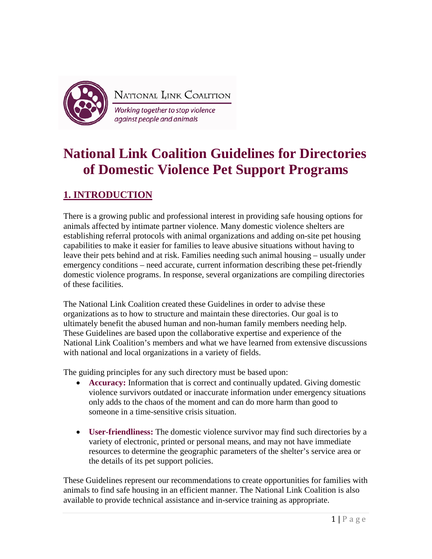

NATIONAL LINK COALITION

Working together to stop violence against people and animals

# **National Link Coalition Guidelines for Directories of Domestic Violence Pet Support Programs**

# **1. INTRODUCTION**

There is a growing public and professional interest in providing safe housing options for animals affected by intimate partner violence. Many domestic violence shelters are establishing referral protocols with animal organizations and adding on-site pet housing capabilities to make it easier for families to leave abusive situations without having to leave their pets behind and at risk. Families needing such animal housing – usually under emergency conditions – need accurate, current information describing these pet-friendly domestic violence programs. In response, several organizations are compiling directories of these facilities.

The National Link Coalition created these Guidelines in order to advise these organizations as to how to structure and maintain these directories. Our goal is to ultimately benefit the abused human and non-human family members needing help. These Guidelines are based upon the collaborative expertise and experience of the National Link Coalition's members and what we have learned from extensive discussions with national and local organizations in a variety of fields.

The guiding principles for any such directory must be based upon:

- **Accuracy:** Information that is correct and continually updated. Giving domestic violence survivors outdated or inaccurate information under emergency situations only adds to the chaos of the moment and can do more harm than good to someone in a time-sensitive crisis situation.
- **User-friendliness:** The domestic violence survivor may find such directories by a variety of electronic, printed or personal means, and may not have immediate resources to determine the geographic parameters of the shelter's service area or the details of its pet support policies.

These Guidelines represent our recommendations to create opportunities for families with animals to find safe housing in an efficient manner. The National Link Coalition is also available to provide technical assistance and in-service training as appropriate.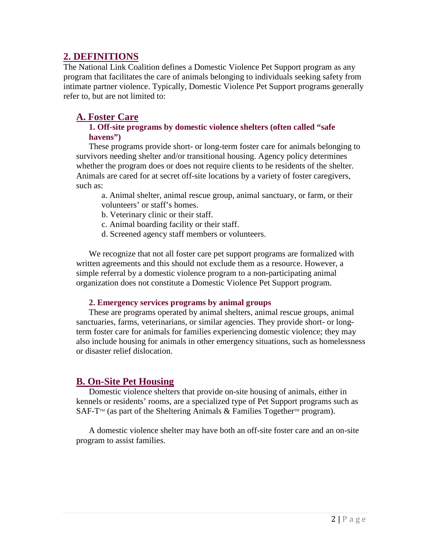# **2. DEFINITIONS**

The National Link Coalition defines a Domestic Violence Pet Support program as any program that facilitates the care of animals belonging to individuals seeking safety from intimate partner violence. Typically, Domestic Violence Pet Support programs generally refer to, but are not limited to:

# **A. Foster Care**

### **1. Off-site programs by domestic violence shelters (often called "safe havens")**

These programs provide short- or long-term foster care for animals belonging to survivors needing shelter and/or transitional housing. Agency policy determines whether the program does or does not require clients to be residents of the shelter. Animals are cared for at secret off-site locations by a variety of foster caregivers, such as:

a. Animal shelter, animal rescue group, animal sanctuary, or farm, or their volunteers' or staff's homes.

- b. Veterinary clinic or their staff.
- c. Animal boarding facility or their staff.
- d. Screened agency staff members or volunteers.

We recognize that not all foster care pet support programs are formalized with written agreements and this should not exclude them as a resource. However, a simple referral by a domestic violence program to a non-participating animal organization does not constitute a Domestic Violence Pet Support program.

## **2. Emergency services programs by animal groups**

These are programs operated by animal shelters, animal rescue groups, animal sanctuaries, farms, veterinarians, or similar agencies. They provide short- or longterm foster care for animals for families experiencing domestic violence; they may also include housing for animals in other emergency situations, such as homelessness or disaster relief dislocation.

# **B. On-Site Pet Housing**

Domestic violence shelters that provide on-site housing of animals, either in kennels or residents' rooms, are a specialized type of Pet Support programs such as SAF-T<sup>TM</sup> (as part of the Sheltering Animals & Families Together<sup>TM</sup> program).

A domestic violence shelter may have both an off-site foster care and an on-site program to assist families.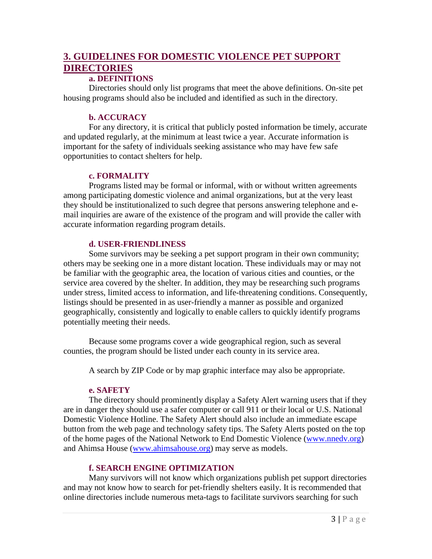# **3. GUIDELINES FOR DOMESTIC VIOLENCE PET SUPPORT DIRECTORIES**

## **a. DEFINITIONS**

Directories should only list programs that meet the above definitions. On-site pet housing programs should also be included and identified as such in the directory.

# **b. ACCURACY**

For any directory, it is critical that publicly posted information be timely, accurate and updated regularly, at the minimum at least twice a year. Accurate information is important for the safety of individuals seeking assistance who may have few safe opportunities to contact shelters for help.

# **c. FORMALITY**

Programs listed may be formal or informal, with or without written agreements among participating domestic violence and animal organizations, but at the very least they should be institutionalized to such degree that persons answering telephone and email inquiries are aware of the existence of the program and will provide the caller with accurate information regarding program details.

## **d. USER-FRIENDLINESS**

Some survivors may be seeking a pet support program in their own community; others may be seeking one in a more distant location. These individuals may or may not be familiar with the geographic area, the location of various cities and counties, or the service area covered by the shelter. In addition, they may be researching such programs under stress, limited access to information, and life-threatening conditions. Consequently, listings should be presented in as user-friendly a manner as possible and organized geographically, consistently and logically to enable callers to quickly identify programs potentially meeting their needs.

Because some programs cover a wide geographical region, such as several counties, the program should be listed under each county in its service area.

A search by ZIP Code or by map graphic interface may also be appropriate.

# **e. SAFETY**

The directory should prominently display a Safety Alert warning users that if they are in danger they should use a safer computer or call 911 or their local or U.S. National Domestic Violence Hotline. The Safety Alert should also include an immediate escape button from the web page and technology safety tips. The Safety Alerts posted on the top of the home pages of the National Network to End Domestic Violence [\(www.nnedv.org\)](http://www.nnedv.org/) and Ahimsa House [\(www.ahimsahouse.org\)](http://www.ahimsahouse.org/) may serve as models.

# **f. SEARCH ENGINE OPTIMIZATION**

Many survivors will not know which organizations publish pet support directories and may not know how to search for pet-friendly shelters easily. It is recommended that online directories include numerous meta-tags to facilitate survivors searching for such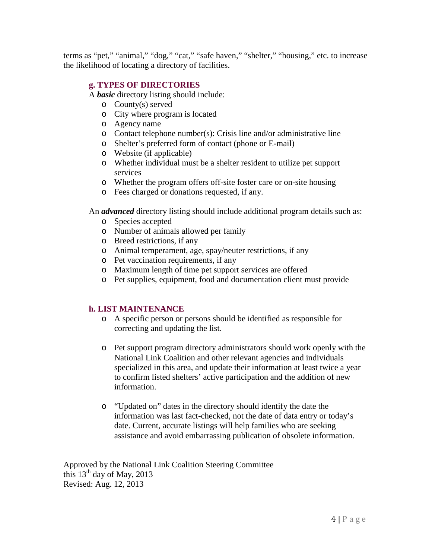terms as "pet," "animal," "dog," "cat," "safe haven," "shelter," "housing," etc. to increase the likelihood of locating a directory of facilities.

### **g. TYPES OF DIRECTORIES**

A *basic* directory listing should include:

- o County(s) served
- o City where program is located
- o Agency name
- o Contact telephone number(s): Crisis line and/or administrative line
- o Shelter's preferred form of contact (phone or E-mail)
- o Website (if applicable)
- o Whether individual must be a shelter resident to utilize pet support services
- o Whether the program offers off-site foster care or on-site housing
- o Fees charged or donations requested, if any.

An *advanced* directory listing should include additional program details such as:

- o Species accepted
- o Number of animals allowed per family
- o Breed restrictions, if any
- o Animal temperament, age, spay/neuter restrictions, if any
- o Pet vaccination requirements, if any
- o Maximum length of time pet support services are offered
- o Pet supplies, equipment, food and documentation client must provide

## **h. LIST MAINTENANCE**

- o A specific person or persons should be identified as responsible for correcting and updating the list.
- o Pet support program directory administrators should work openly with the National Link Coalition and other relevant agencies and individuals specialized in this area, and update their information at least twice a year to confirm listed shelters' active participation and the addition of new information.
- o "Updated on" dates in the directory should identify the date the information was last fact-checked, not the date of data entry or today's date. Current, accurate listings will help families who are seeking assistance and avoid embarrassing publication of obsolete information.

Approved by the National Link Coalition Steering Committee this  $13<sup>th</sup>$  day of May, 2013 Revised: Aug. 12, 2013